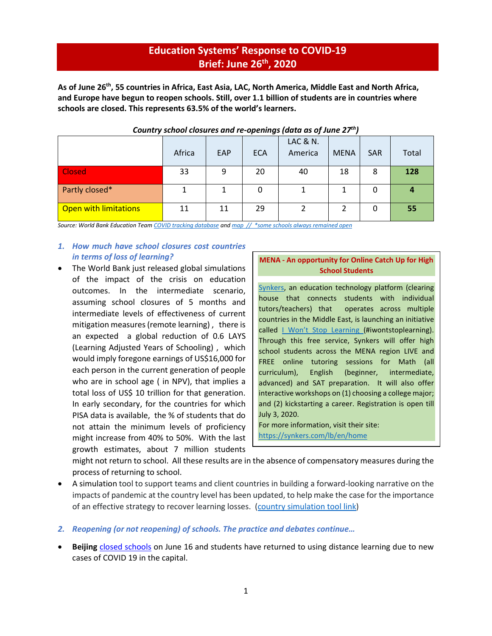# **Education Systems' Response to COVID-19 Brief: June 26th, 2020**

**As of June 26th, 55 countries in Africa, East Asia, LAC, North America, Middle East and North Africa, and Europe have begun to reopen schools. Still, over 1.1 billion of students are in countries where schools are closed. This represents 63.5% of the world's learners.**

| -------                      |        |            |            |                     |             |            |       |
|------------------------------|--------|------------|------------|---------------------|-------------|------------|-------|
|                              |        |            |            | <b>LAC &amp; N.</b> |             |            |       |
|                              | Africa | <b>EAP</b> | <b>ECA</b> | America             | <b>MENA</b> | <b>SAR</b> | Total |
| <b>Closed</b>                | 33     | 9          | 20         | 40                  | 18          | 8          | 128   |
| Partly closed*               |        |            | 0          |                     |             |            |       |
| <b>Open with limitations</b> | 11     | 11         | 29         |                     |             | Ω          | 55    |

## *Country school closures and re-openings (data as of June 27th)*

*Source: World Bank Education Tea[m COVID tracking database](https://worldbankgroup-my.sharepoint.com/:x:/g/personal/tshmis_worldbank_org/EehfzqvLAm5CkGYQliGgCRQBmZg3meDaj5ZnpU4URJDX-g?e=bg0hMT) an[d map](https://tab.worldbank.org/#/site/WBG/views/covid19/dsh_simple?:showAppBanner=false&:display_count=n&:showVizHome=n&:origin=viz_share_link&:iid=1) // \*some schools always remained open* 

# *1. How much have school closures cost countries in terms of loss of learning?*

• The World Bank just released global simulations of the impact of the crisis on education outcomes. In the intermediate scenario, assuming school closures of 5 months and intermediate levels of effectiveness of current mitigation measures (remote learning) , there is an expected a global reduction of 0.6 LAYS (Learning Adjusted Years of Schooling) , which would imply foregone earnings of US\$16,000 for each person in the current generation of people who are in school age ( in NPV), that implies a total loss of US\$ 10 trillion for that generation. In early secondary, for the countries for which PISA data is available, the % of students that do not attain the minimum levels of proficiency might increase from 40% to 50%. With the last growth estimates, about 7 million students

# **MENA - An opportunity for Online Catch Up for High School Students**

[Synkers,](https://synkers.com/lb/en/home) an education technology platform (clearing house that connects students with individual tutors/teachers) that operates across multiple countries in the Middle East, is launching an initiative called | Won't [Stop Learning](https://synkers.com/lb/en/programs) (#iwontstoplearning). Through this free service, Synkers will offer high school students across the MENA region LIVE and FREE online tutoring sessions for Math (all curriculum), English (beginner, intermediate, advanced) and SAT preparation. It will also offer interactive workshops on (1) choosing a college major; and (2) kickstarting a career. Registration is open till July 3, 2020.

For more information, visit their site: <https://synkers.com/lb/en/home>

might not return to school. All these results are in the absence of compensatory measures during the process of returning to school.

- A simulation tool to support teams and client countries in building a forward-looking narrative on the impacts of pandemic at the country level has been updated, to help make the case for the importance of an effective strategy to recover learning losses. [\(country simulation tool link\)](https://worldbankgroup.sharepoint.com/sites/Education/SitePages/Detail.aspx/Blogs/mode=view?_Id=25652&SiteURL=/sites/Education)
- *2. Reopening (or not reopening) of schools. The practice and debates continue…*
- **Beijing** [closed schools](https://www.nytimes.com/2020/06/16/world/asia/Beijing-coronavirus-flareup.html) on June 16 and students have returned to using distance learning due to new cases of COVID 19 in the capital.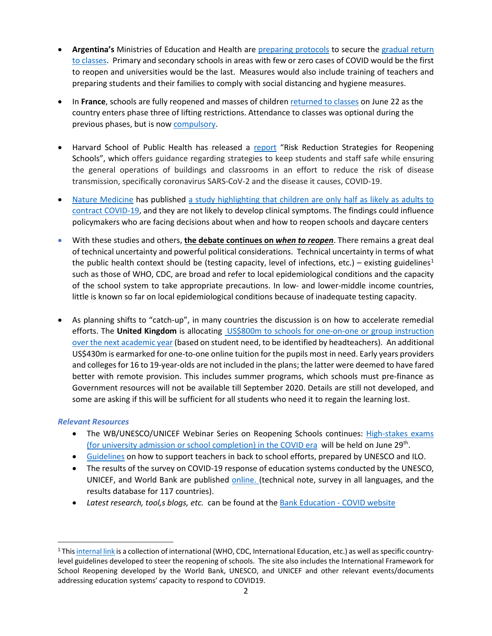- **Argentina's** Ministries of Education and Health are [preparing protocols](https://www.argentina.gob.ar/noticias/educacion-y-salud-avanzan-en-los-protocolos-federales-para-el-regreso-las-aulas) to secure the [gradual return](https://www.clarin.com/sociedad/coronavirus-argentina-alumnos-universidades-ultimos-volver-aulas_0_ko0bAzrod.html)  [to classes.](https://www.clarin.com/sociedad/coronavirus-argentina-alumnos-universidades-ultimos-volver-aulas_0_ko0bAzrod.html) Primary and secondary schools in areas with few or zero cases of COVID would be the first to reopen and universities would be the last. Measures would also include training of teachers and preparing students and their families to comply with social distancing and hygiene measures.
- In **France**, schools are fully reopened and masses of childre[n returned to classes](https://www.euronews.com/2020/06/22/french-schools-reopen-as-more-covid-19-restrictions-lifted) on June 22 as the country enters phase three of lifting restrictions. Attendance to classes was optional during the previous phases, but is now [compulsory.](https://www.theguardian.com/world/2020/jun/15/france-turning-page-as-schools-borders-and-workplaces-reopen-emmanuel-macron-coronavirus)
- Harvard School of Public Health has released a [report](https://teachertaskforce.org/knowledge-hub/supporting-teachers-back-school-efforts-guidance-policy-makers) "Risk Reduction Strategies for Reopening Schools", which offers guidance regarding strategies to keep students and staff safe while ensuring the general operations of buildings and classrooms in an effort to reduce the risk of disease transmission, specifically coronavirus SARS-CoV-2 and the disease it causes, COVID-19.
- [Nature Medicine](https://www.nature.com/nm/) has published [a study highlighting that children are only half as likely as adults to](https://www.nature.com/articles/s41591-020-0962-9)  [contract COVID-19,](https://www.nature.com/articles/s41591-020-0962-9) and they are not likely to develop clinical symptoms. The findings could influence policymakers who are facing decisions about when and how to reopen schools and daycare centers
- With these studies and others, **the debate continues on** *when to reopen*. There remains a great deal of technical uncertainty and powerful political considerations. Technical uncertainty in terms of what the public health context should be (testing capacity, level of infections, etc.) – existing guidelines<sup>[1](#page-1-0)</sup> such as those of WHO, CDC, are broad and refer to local epidemiological conditions and the capacity of the school system to take appropriate precautions. In low- and lower-middle income countries, little is known so far on local epidemiological conditions because of inadequate testing capacity.
- As planning shifts to "catch-up", in many countries the discussion is on how to accelerate remedial efforts. The **United Kingdom** is allocating [US\\$800m to schools for one-on-one or group instruction](https://www.bbc.com/news/education-53100881)  [over the next academic year](https://www.bbc.com/news/education-53100881) (based on student need, to be identified by headteachers). An additional US\$430m is earmarked for one-to-one online tuition for the pupils most in need. Early years providers and colleges for 16 to 19-year-olds are not included in the plans; the latter were deemed to have fared better with remote provision. This includes summer programs, which schools must pre-finance as Government resources will not be available till September 2020. Details are still not developed, and some are asking if this will be sufficient for all students who need it to regain the learning lost.

# *Relevant Resources*

- The WB/UNESCO/UNICEF Webinar Series on Reopening Schools continues: [High-stakes](https://en.unesco.org/sites/default/files/framework_for_reopening_schools_highstakesdecisionmaking_v04.pdf) exams [\(for university admission or school completion\) in the COVID era](https://en.unesco.org/sites/default/files/framework_for_reopening_schools_highstakesdecisionmaking_v04.pdf) will be held on June 29<sup>th</sup>.
- [Guidelines](https://teachertaskforce.org/knowledge-hub/supporting-teachers-back-school-efforts-guidance-policy-makers) on how to support teachers in back to school efforts, prepared by UNESCO and ILO.
- The results of the survey on COVID-19 response of education systems conducted by the UNESCO, UNICEF, and World Bank are published [online.](http://tcg.uis.unesco.org/survey-education-covid-school-closures/) (technical note, survey in all languages, and the results database for 117 countries).
- *Latest research, tool,s blogs, etc.* can be found at the [Bank Education -](https://www.worldbank.org/en/data/interactive/2020/03/24/world-bank-education-and-covid-19) COVID website

<span id="page-1-0"></span> $1$  Thi[s internal link](https://worldbankgroup.sharepoint.com/sites/Education/MCSD/Pages/COVID19-05182020-144709.aspx) is a collection of international (WHO, CDC, International Education, etc.) as well as specific countrylevel guidelines developed to steer the reopening of schools. The site also includes the International Framework for School Reopening developed by the World Bank, UNESCO, and UNICEF and other relevant events/documents addressing education systems' capacity to respond to COVID19.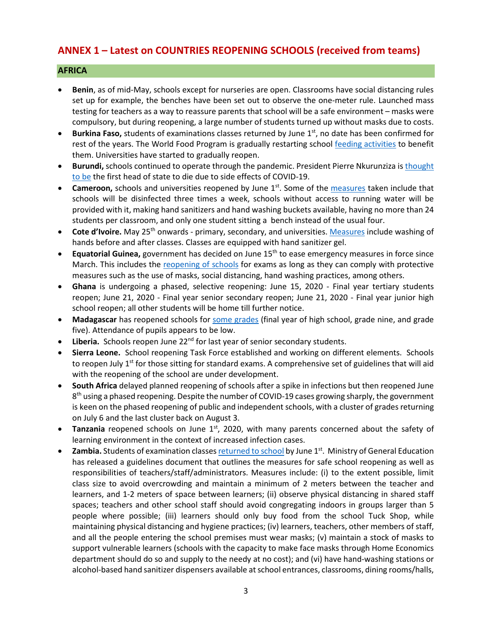# **ANNEX 1 – Latest on COUNTRIES REOPENING SCHOOLS (received from teams)**

# **AFRICA**

- **Benin**, as of mid-May, schools except for nurseries are open. Classrooms have social distancing rules set up for example, the benches have been set out to observe the one-meter rule. Launched mass testing for teachers as a way to reassure parents that school will be a safe environment – masks were compulsory, but during reopening, a large number of students turned up without masks due to costs.
- **Burkina Faso,** students of examinations classes returned by June 1<sup>st</sup>, no date has been confirmed for rest of the years. The World Food Program is gradually restarting school [feeding activities](https://reliefweb.int/report/burkina-faso/wfp-burkina-faso-emergency-response-situation-report-13-19-june-2020) to benefit them. Universities have started to gradually reopen.
- **Burundi,** schools continued to operate through the pandemic. President Pierre Nkurunziza is [thought](https://www.ft.com/content/a232c62b-ded1-4dd4-8ca7-a5bb5214987f)  [to be](https://www.ft.com/content/a232c62b-ded1-4dd4-8ca7-a5bb5214987f) the first head of state to die due to side effects of COVID-19.
- **Cameroon,** schools and universities reopened by June 1<sup>st</sup>. Some of the [measures](https://www.voanews.com/africa/cameroon-opens-schools-amid-covid-19-spike) taken include that schools will be disinfected three times a week, schools without access to running water will be provided with it, making hand sanitizers and hand washing buckets available, having no more than 24 students per classroom, and only one student sitting a bench instead of the usual four.
- **Cote d'Ivoire.** May 25<sup>th</sup> onwards primary, secondary, and universities. [Measures](https://www.reuters.com/article/us-health-coronavirus-ivorycoast-educati/ivory-coast-children-head-back-to-school-after-virus-shutdown-idUSKBN2311FC) include washing of hands before and after classes. Classes are equipped with hand sanitizer gel.
- **Equatorial Guinea,** government has decided on June 15th to ease emergency measures in force since March. This includes the [reopening of schools](https://www.africanews.com/2020/06/17/legal-alert-understanding-the-dos-and-donts-of-equatorial-guineas-deconfinement-measures/) for exams as long as they can comply with protective measures such as the use of masks, social distancing, hand washing practices, among others.
- **Ghana** is undergoing a phased, selective reopening: June 15, 2020 Final year tertiary students reopen; June 21, 2020 - Final year senior secondary reopen; June 21, 2020 - Final year junior high school reopen; all other students will be home till further notice.
- **Madagascar** has reopened schools for [some grades](https://reliefweb.int/sites/reliefweb.int/files/resources/UNICEF%20Madagascar%20COVID-19%20Situation%20Report%20-%2012%20June%202020.pdf) (final year of high school, grade nine, and grade five). Attendance of pupils appears to be low.
- Liberia. Schools reopen June 22<sup>nd</sup> for last year of senior secondary students.
- **Sierra Leone.** School reopening Task Force established and working on different elements. Schools to reopen July 1<sup>st</sup> for those sitting for standard exams. A comprehensive set of guidelines that will aid with the reopening of the school are under development.
- **South Africa** delayed planned reopening of schools after a spike in infections but then reopened June 8<sup>th</sup> using a phased reopening. Despite the number of COVID-19 cases growing sharply, the government is keen on the phased reopening of public and independent schools, with a cluster of grades returning on July 6 and the last cluster back on August 3.
- Tanzania reopened schools on June 1<sup>st</sup>, 2020, with many parents concerned about the safety of learning environment in the context of increased infection cases.
- **Zambia.** Students of examination classe[s returned to school](http://www.xinhuanet.com/english/2020-06/01/c_139105832.htm) by June 1<sup>st</sup>. Ministry of General Education has released a guidelines document that outlines the measures for safe school reopening as well as responsibilities of teachers/staff/administrators. Measures include: (i) to the extent possible, limit class size to avoid overcrowding and maintain a minimum of 2 meters between the teacher and learners, and 1-2 meters of space between learners; (ii) observe physical distancing in shared staff spaces; teachers and other school staff should avoid congregating indoors in groups larger than 5 people where possible; (iii) learners should only buy food from the school Tuck Shop, while maintaining physical distancing and hygiene practices; (iv) learners, teachers, other members of staff, and all the people entering the school premises must wear masks; (v) maintain a stock of masks to support vulnerable learners (schools with the capacity to make face masks through Home Economics department should do so and supply to the needy at no cost); and (vi) have hand-washing stations or alcohol-based hand sanitizer dispensers available at school entrances, classrooms, dining rooms/halls,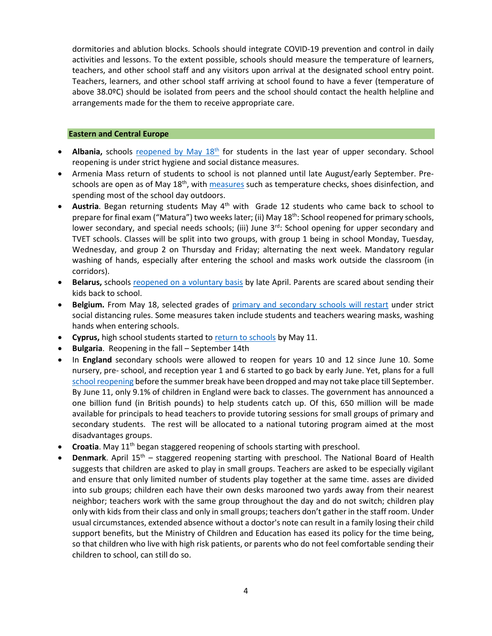dormitories and ablution blocks. Schools should integrate COVID-19 prevention and control in daily activities and lessons. To the extent possible, schools should measure the temperature of learners, teachers, and other school staff and any visitors upon arrival at the designated school entry point. Teachers, learners, and other school staff arriving at school found to have a fever (temperature of above 38.0ºC) should be isolated from peers and the school should contact the health helpline and arrangements made for the them to receive appropriate care.

### **Eastern and Central Europe**

- **Albania,** schools reopened by May 18<sup>th</sup> for students in the last year of upper secondary. School reopening is under strict hygiene and social distance measures.
- Armenia Mass return of students to school is not planned until late August/early September. Preschools are open as of May  $18<sup>th</sup>$ , wit[h measures](https://en.armradio.am/2020/05/20/kindergartens-in-yerevan-reopen-after-a-two-month-lockdown/) such as temperature checks, shoes disinfection, and spending most of the school day outdoors.
- Austria. Began returning students May 4<sup>th</sup> with Grade 12 students who came back to school to prepare for final exam ("Matura") two weeks later; (ii) May 18<sup>th</sup>: School reopened for primary schools, lower secondary, and special needs schools; (iii) June 3<sup>rd</sup>: School opening for upper secondary and TVET schools. Classes will be split into two groups, with group 1 being in school Monday, Tuesday, Wednesday, and group 2 on Thursday and Friday; alternating the next week. Mandatory regular washing of hands, especially after entering the school and masks work outside the classroom (in corridors).
- **Belarus,** schools [reopened on a voluntary basis](https://www.vaticannews.va/en/world/news/2020-04/belarus-coronavirus-open.html) by late April. Parents are scared about sending their kids back to school.
- **Belgium.** From May 18, selected grades of [primary and secondary schools will restart](https://www.politico.eu/article/belgium-lifts-its-lockdown-what-is-allowed-and-when/) under strict social distancing rules. Some measures taken include students and teachers wearing masks, washing hands when entering schools.
- **Cyprus,** high school students started to [return to schools](https://www.weforum.org/agenda/2020/05/schools-education-lockdowns-coronavirus-covid19/) by May 11.
- **Bulgaria**. Reopening in the fall September 14th
- In **England** secondary schools were allowed to reopen for years 10 and 12 since June 10. Some nursery, pre- school, and reception year 1 and 6 started to go back by early June. Yet, plans for a full [school reopening](https://www.bbc.com/news/education-51643556) before the summer break have been dropped and may not take place till September. By June 11, only 9.1% of children in England were back to classes. The government has announced a one billion fund (in British pounds) to help students catch up. Of this, 650 million will be made available for principals to head teachers to provide tutoring sessions for small groups of primary and secondary students. The rest will be allocated to a national tutoring program aimed at the most disadvantages groups.
- **Croatia**. May 11<sup>th</sup> began staggered reopening of schools starting with preschool.
- **Denmark**. April 15<sup>th</sup> staggered reopening starting with preschool. The National Board of Health suggests that children are asked to play in small groups. Teachers are asked to be especially vigilant and ensure that only limited number of students play together at the same time. asses are divided into sub groups; children each have their own desks marooned two yards away from their nearest neighbor; teachers work with the same group throughout the day and do not switch; children play only with kids from their class and only in small groups; teachers don't gather in the staff room. Under usual circumstances, extended absence without a doctor's note can result in a family losing their child support benefits, but the Ministry of Children and Education has eased its policy for the time being, so that children who live with high risk patients, or parents who do not feel comfortable sending their children to school, can still do so.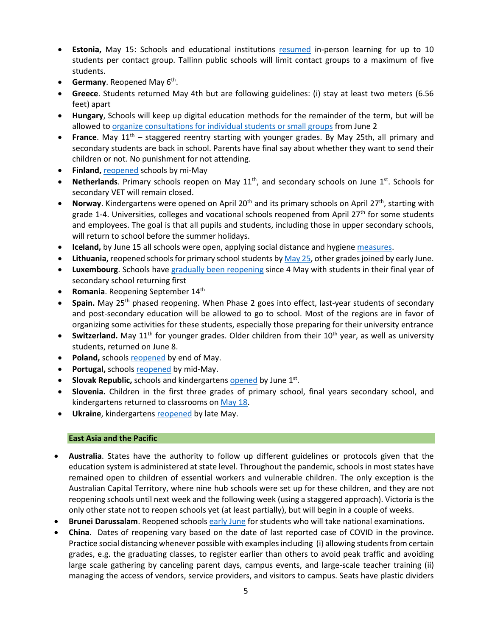- **Estonia,** May 15: Schools and educational institutions [resumed](https://ee.usembassy.gov/2020-05-08-5/%20https:/www.hm.ee/en/news/estonia-offers-its-digital-education-solutions-free-support-other-countries) in-person learning for up to 10 students per contact group. Tallinn public schools will limit contact groups to a maximum of five students.
- **Germany**. Reopened May 6<sup>th</sup>.
- **Greece**. Students returned May 4th but are following guidelines: (i) stay at least two meters (6.56 feet) apart
- **Hungary**, Schools will keep up digital education methods for the remainder of the term, but will be allowed t[o organize consultations for individual students or small groups](https://hungarytoday.hu/hungary-schools-open-coronavirus/) from June 2
- **France**. May 11<sup>th</sup> staggered reentry starting with younger grades. By May 25th, all primary and secondary students are back in school. Parents have final say about whether they want to send their children or not. No punishment for not attending.
- **Finland,** [reopened](https://www.reuters.com/article/us-health-coronavirus-finland/coronavirus-infections-slow-down-in-finland-despite-schools-opening-idUSKBN23B19K) schools by mi-May
- **Netherlands**. Primary schools reopen on May 11<sup>th</sup>, and secondary schools on June 1<sup>st</sup>. Schools for secondary VET will remain closed.
- Norway. Kindergartens were opened on April 20<sup>th</sup> and its primary schools on April 27<sup>th</sup>, starting with grade 1-4. Universities, colleges and vocational schools reopened from April 27<sup>th</sup> for some students and employees. The goal is that all pupils and students, including those in upper secondary schools, will return to school before the summer holidays.
- **Iceland,** by June 15 all schools were open, applying social distance and hygien[e measures.](https://www.icelandreview.com/ask-ir/whats-the-status-of-covid-19-in-iceland/)
- **Lithuania,** reopened schools for primary school students b[y May 25,](https://www.baltictimes.com/lithuania_s_lockdown_easing__wearing_face_masks_no_longer_mandatory_in_open_spaces/) other grades joined by early June.
- **Luxembourg**. Schools have [gradually been reopening](https://lu.usembassy.gov/covid-19-information/) since 4 May with students in their final year of secondary school returning first
- **Romania**. Reopening September 14th
- **Spain.** May 25th phased reopening. When Phase 2 goes into effect, last-year students of secondary and post-secondary education will be allowed to go to school. Most of the regions are in favor of organizing some activities for these students, especially those preparing for their university entrance
- Switzerland. May 11<sup>th</sup> for younger grades. Older children from their 10<sup>th</sup> year, as well as university students, returned on June 8.
- Poland, school[s reopened](https://www.bbc.com/news/world-europe-52796699) by end of May.
- Portugal, school[s reopened](https://www.theportugalnews.com/news/restaurants-cafes-daycare-centres-and-schools-reopen-on-monday/54168) by mid-May.
- **Slovak Republic,** schools and kindergarten[s opened](https://domov.sme.sk/c/22406854/koronavirus-slovensko-uvolnenie-dalsich-opatreni.html) by June 1<sup>st</sup>.
- **Slovenia.** Children in the first three grades of primary school, final years secondary school, and kindergartens returned to classrooms o[n May 18.](https://www.total-slovenia-news.com/lifestyle/6142-slovenian-schools-kindergartens-start-re-opening-18-may)
- **Ukraine**, kindergarten[s reopened](https://www.thenationalherald.com/coronavirus/arthro/schools_subways_open_in_ukraine_as_lockdown_lifted-347116/) by late May.

# **East Asia and the Pacific**

- **Australia**. States have the authority to follow up different guidelines or protocols given that the education system is administered at state level. Throughout the pandemic, schools in most states have remained open to children of essential workers and vulnerable children. The only exception is the Australian Capital Territory, where nine hub schools were set up for these children, and they are not reopening schools until next week and the following week (using a staggered approach). Victoria is the only other state not to reopen schools yet (at least partially), but will begin in a couple of weeks.
- **Brunei Darussalam**. Reopened school[s early June](https://thescoop.co/2020/05/21/brunei-partially-reopens-schools-on-june-2-as-coronavirus-concerns-ease/) for students who will take national examinations.
- **China**. Dates of reopening vary based on the date of last reported case of COVID in the province. Practice social distancing whenever possible with examples including (i) allowing students from certain grades, e.g. the graduating classes, to register earlier than others to avoid peak traffic and avoiding large scale gathering by canceling parent days, campus events, and large-scale teacher training (ii) managing the access of vendors, service providers, and visitors to campus. Seats have plastic dividers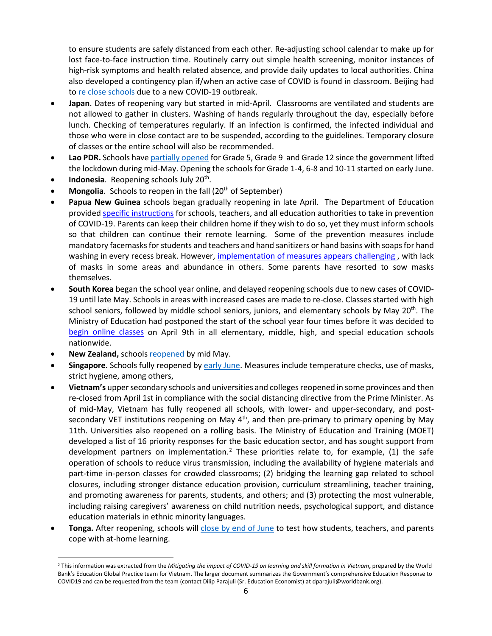to ensure students are safely distanced from each other. Re-adjusting school calendar to make up for lost face-to-face instruction time. Routinely carry out simple health screening, monitor instances of high-risk symptoms and health related absence, and provide daily updates to local authorities. China also developed a contingency plan if/when an active case of COVID is found in classroom. Beijing had t[o re close schools](https://www.nytimes.com/2020/06/17/world/asia/coronavirus-beijing-china.html) due to a new COVID-19 outbreak.

- **Japan**. Dates of reopening vary but started in mid-April. Classrooms are ventilated and students are not allowed to gather in clusters. Washing of hands regularly throughout the day, especially before lunch. Checking of temperatures regularly. If an infection is confirmed, the infected individual and those who were in close contact are to be suspended, according to the guidelines. Temporary closure of classes or the entire school will also be recommended.
- **Lao PDR.** Schools have [partially opened](https://www.unicef.org/laos/stories/safely-back-school) for Grade 5, Grade 9 and Grade 12 since the government lifted the lockdown during mid-May. Opening the schools for Grade 1-4, 6-8 and 10-11 started on early June.
- **Indonesia**. Reopening schools July 20<sup>th</sup>.
- **Mongolia**. Schools to reopen in the fall (20<sup>th</sup> of September)
- **Papua New Guinea** schools began gradually reopening in late April. The Department of Education provided [specific instructions](https://covid19.info.gov.pg/files/28042020/Secretary%20Circular%20Instruction%205%20of%202020.pdf.pdf) for schools, teachers, and all education authorities to take in prevention of COVID-19. Parents can keep their children home if they wish to do so, yet they must inform schools so that children can continue their remote learning. Some of the prevention measures include mandatory facemasks for students and teachers and hand sanitizers or hand basins with soaps for hand washing in every recess break. However, implementation of measures appears challenging, with lack of masks in some areas and abundance in others. Some parents have resorted to sow masks themselves.
- **South Korea** began the school year online, and delayed reopening schools due to new cases of COVID-19 until late May. Schools in areas with increased cases are made to re-close. Classes started with high school seniors, followed by middle school seniors, juniors, and elementary schools by May 20<sup>th</sup>. The Ministry of Education had postponed the start of the school year four times before it was decided to [begin online classes](https://www.moe.go.kr/boardCnts/view.do?boardID=294&boardSeq=80160&lev=0&searchType=null&statusYN=W&page=1&s=moe&m=020402&opType=N) on April 9th in all elementary, middle, high, and special education schools nationwide.
- **New Zealand,** schools [reopened](https://www.theguardian.com/world/2020/may/11/ardern-announces-new-zealand-will-reopen-schools-offices-and-restaurants-this-week) by mid May.
- **Singapore.** Schools fully reopened b[y early June.](https://www.usnews.com/news/world/articles/2020-06-02/schools-reopen-as-singapore-eases-lockdown-restrictions) Measures include temperature checks, use of masks, strict hygiene, among others,
- **Vietnam's** upper secondary schools and universities and colleges reopened in some provinces and then re-closed from April 1st in compliance with the social distancing directive from the Prime Minister. As of mid-May, Vietnam has fully reopened all schools, with lower- and upper-secondary, and postsecondary VET institutions reopening on May 4<sup>th</sup>, and then pre-primary to primary opening by May 11th. Universities also reopened on a rolling basis. The Ministry of Education and Training (MOET) developed a list of 16 priority responses for the basic education sector, and has sought support from development partners on implementation.<sup>[2](#page-5-0)</sup> These priorities relate to, for example, (1) the safe operation of schools to reduce virus transmission, including the availability of hygiene materials and part-time in-person classes for crowded classrooms; (2) bridging the learning gap related to school closures, including stronger distance education provision, curriculum streamlining, teacher training, and promoting awareness for parents, students, and others; and (3) protecting the most vulnerable, including raising caregivers' awareness on child nutrition needs, psychological support, and distance education materials in ethnic minority languages.
- **Tonga.** After reopening, schools will [close by end of June](https://www.theguardian.com/world/2020/jun/17/coronavirus-in-the-pacific-weekly-briefing) to test how students, teachers, and parents cope with at-home learning.

<span id="page-5-0"></span><sup>&</sup>lt;sup>2</sup> This information was extracted from the *Mitigating the impact of COVID-19 on learning and skill formation in Vietnam*, prepared by the World Bank's Education Global Practice team for Vietnam. The larger document summarizes the Government's comprehensive Education Response to COVID19 and can be requested from the team (contact Dilip Parajuli (Sr. Education Economist) at dparajuli@worldbank.org).